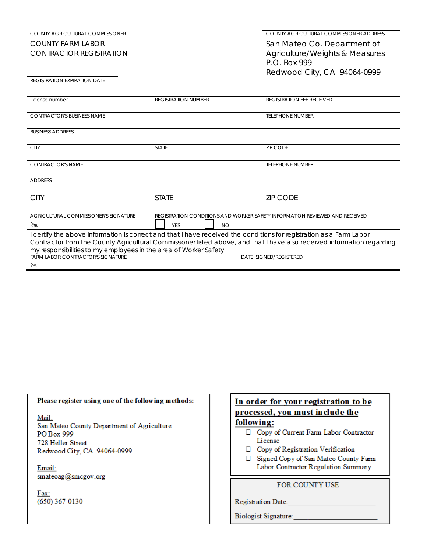| <b>COUNTY AGRICULTURAL COMMISSIONER</b>                                                                              |                            | <b>COUNTY AGRICULTURAL COMMISSIONER ADDRESS</b>                                                                        |
|----------------------------------------------------------------------------------------------------------------------|----------------------------|------------------------------------------------------------------------------------------------------------------------|
| <b>COUNTY FARM LABOR</b><br><b>CONTRACTOR REGISTRATION</b>                                                           |                            | San Mateo Co. Department of<br>Agriculture/Weights & Measures                                                          |
|                                                                                                                      |                            |                                                                                                                        |
|                                                                                                                      |                            | Redwood City, CA 94064-0999                                                                                            |
| <b>REGISTRATION EXPIRATION DATE</b>                                                                                  |                            |                                                                                                                        |
|                                                                                                                      |                            |                                                                                                                        |
|                                                                                                                      |                            |                                                                                                                        |
| License number                                                                                                       | <b>REGISTRATION NUMBER</b> | <b>REGISTRATION FEE RECEIVED</b>                                                                                       |
| <b>CONTRACTOR'S BUSINESS NAME</b>                                                                                    |                            | <b>TELEPHONE NUMBER</b>                                                                                                |
|                                                                                                                      |                            |                                                                                                                        |
| <b>BUSINESS ADDRESS</b>                                                                                              |                            |                                                                                                                        |
|                                                                                                                      |                            |                                                                                                                        |
| <b>CITY</b>                                                                                                          | <b>STATE</b>               | <b>ZIP CODE</b>                                                                                                        |
|                                                                                                                      |                            |                                                                                                                        |
| <b>CONTRACTOR'S NAME</b>                                                                                             |                            | <b>TELEPHONE NUMBER</b>                                                                                                |
|                                                                                                                      |                            |                                                                                                                        |
| <b>ADDRESS</b>                                                                                                       |                            |                                                                                                                        |
|                                                                                                                      |                            |                                                                                                                        |
| <b>CITY</b>                                                                                                          | <b>STATE</b>               | <b>ZIP CODE</b>                                                                                                        |
|                                                                                                                      |                            |                                                                                                                        |
| AGRICULTURAL COMMISSIONER'S SIGNATURE<br>REGISTRATION CONDITIONS AND WORKER SAFETY INFORMATION REVIEWED AND RECEIVED |                            |                                                                                                                        |
| ⊠                                                                                                                    | <b>YFS</b><br><b>NO</b>    |                                                                                                                        |
|                                                                                                                      |                            | I certify the above information is correct and that I have received the conditions for registration as a Farm Labor    |
|                                                                                                                      |                            | Contractor from the County Agricultural Commissioner listed above, and that I have also received information regarding |
| my responsibilities to my employees in the area of Worker Safety.                                                    |                            |                                                                                                                        |
| <b>FARM LABOR CONTRACTOR'S SIGNATURE</b>                                                                             |                            | DATE SIGNED/REGISTERED                                                                                                 |
| B                                                                                                                    |                            |                                                                                                                        |

### Please register using one of the following methods:

Mail: San Mateo County Department of Agriculture PO Box 999 728 Heller Street Redwood City, CA 94064-0999

Email:  $smateoag@smcgov.org$ 

 $$  $(650)$  367-0130

# In order for your registration to be processed, you must include the following:

- □ Copy of Current Farm Labor Contractor License
- □ Copy of Registration Verification
- □ Signed Copy of San Mateo County Farm Labor Contractor Regulation Summary

## FOR COUNTY USE

Biologist Signature: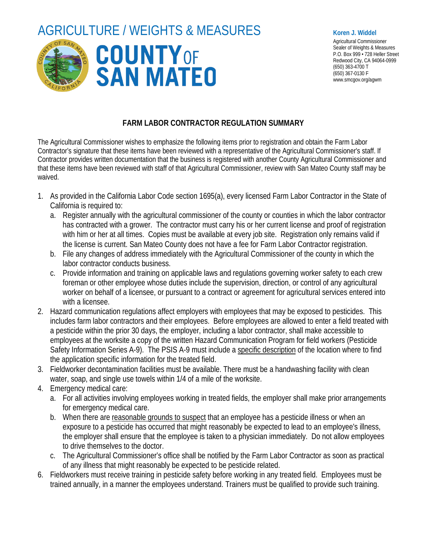

 Agricultural Commissioner Sealer of Weights & Measures P.O. Box 999 • 728 Heller Street Redwood City, CA 94064-0999 (650) 363-4700 T (650) 367-0130 F www.smcgov.org/agwm

#### **FARM LABOR CONTRACTOR REGULATION SUMMARY**

The Agricultural Commissioner wishes to emphasize the following items prior to registration and obtain the Farm Labor Contractor's signature that these items have been reviewed with a representative of the Agricultural Commissioner's staff. If Contractor provides written documentation that the business is registered with another County Agricultural Commissioner and that these items have been reviewed with staff of that Agricultural Commissioner, review with San Mateo County staff may be waived.

- 1. As provided in the California Labor Code section 1695(a), every licensed Farm Labor Contractor in the State of California is required to:
	- a. Register annually with the agricultural commissioner of the county or counties in which the labor contractor has contracted with a grower. The contractor must carry his or her current license and proof of registration with him or her at all times. Copies must be available at every job site. Registration only remains valid if the license is current. San Mateo County does not have a fee for Farm Labor Contractor registration.
	- b. File any changes of address immediately with the Agricultural Commissioner of the county in which the labor contractor conducts business.
	- c. Provide information and training on applicable laws and regulations governing worker safety to each crew foreman or other employee whose duties include the supervision, direction, or control of any agricultural worker on behalf of a licensee, or pursuant to a contract or agreement for agricultural services entered into with a licensee.
- 2. Hazard communication regulations affect employers with employees that may be exposed to pesticides. This includes farm labor contractors and their employees. Before employees are allowed to enter a field treated with a pesticide within the prior 30 days, the employer, including a labor contractor, shall make accessible to employees at the worksite a copy of the written Hazard Communication Program for field workers (Pesticide Safety Information Series A-9). The PSIS A-9 must include a specific description of the location where to find the application specific information for the treated field.
- 3. Fieldworker decontamination facilities must be available. There must be a handwashing facility with clean water, soap, and single use towels within 1/4 of a mile of the worksite.
- 4. Emergency medical care:
	- a. For all activities involving employees working in treated fields, the employer shall make prior arrangements for emergency medical care.
	- b. When there are reasonable grounds to suspect that an employee has a pesticide illness or when an exposure to a pesticide has occurred that might reasonably be expected to lead to an employee's illness, the employer shall ensure that the employee is taken to a physician immediately. Do not allow employees to drive themselves to the doctor.
	- c. The Agricultural Commissioner's office shall be notified by the Farm Labor Contractor as soon as practical of any illness that might reasonably be expected to be pesticide related.
- 6. Fieldworkers must receive training in pesticide safety before working in any treated field. Employees must be trained annually, in a manner the employees understand. Trainers must be qualified to provide such training.